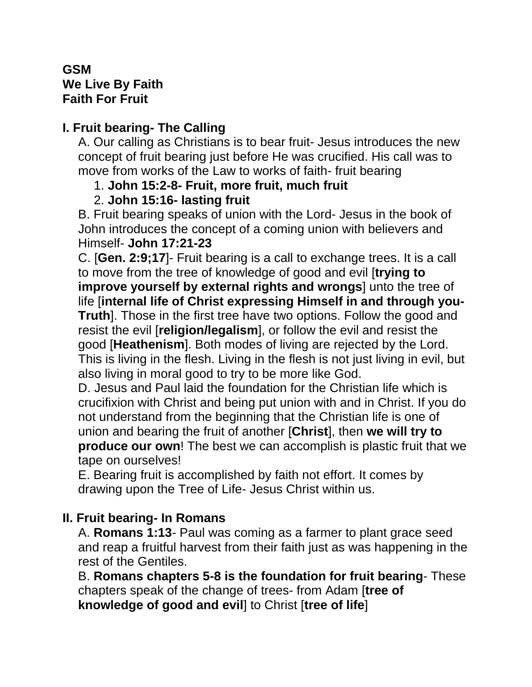### **GSM We Live By Faith Faith For Fruit**

# **I. Fruit bearing- The Calling**

A. Our calling as Christians is to bear fruit- Jesus introduces the new concept of fruit bearing just before He was crucified. His call was to move from works of the Law to works of faith- fruit bearing

### 1. **John 15:2-8- Fruit, more fruit, much fruit**

# 2. **John 15:16- lasting fruit**

B. Fruit bearing speaks of union with the Lord- Jesus in the book of John introduces the concept of a coming union with believers and Himself- **John 17:21-23**

C. [**Gen. 2:9;17**]- Fruit bearing is a call to exchange trees. It is a call to move from the tree of knowledge of good and evil [**trying to improve yourself by external rights and wrongs**] unto the tree of life [**internal life of Christ expressing Himself in and through you-Truth**]. Those in the first tree have two options. Follow the good and resist the evil [**religion/legalism**], or follow the evil and resist the good [**Heathenism**]. Both modes of living are rejected by the Lord. This is living in the flesh. Living in the flesh is not just living in evil, but also living in moral good to try to be more like God.

D. Jesus and Paul laid the foundation for the Christian life which is crucifixion with Christ and being put union with and in Christ. If you do not understand from the beginning that the Christian life is one of union and bearing the fruit of another [**Christ**], then **we will try to produce our own**! The best we can accomplish is plastic fruit that we tape on ourselves!

E. Bearing fruit is accomplished by faith not effort. It comes by drawing upon the Tree of Life- Jesus Christ within us.

# **II. Fruit bearing- In Romans**

A. **Romans 1:13**- Paul was coming as a farmer to plant grace seed and reap a fruitful harvest from their faith just as was happening in the rest of the Gentiles.

B. **Romans chapters 5-8 is the foundation for fruit bearing**- These chapters speak of the change of trees- from Adam [**tree of knowledge of good and evil**] to Christ [**tree of life**]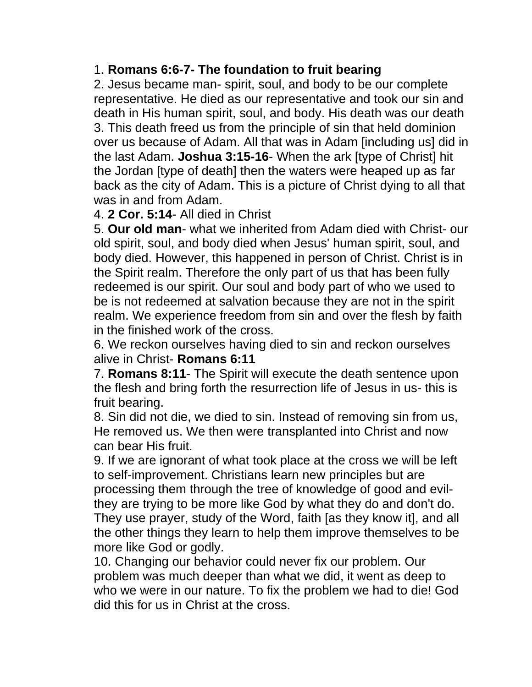# 1. **Romans 6:6-7- The foundation to fruit bearing**

2. Jesus became man- spirit, soul, and body to be our complete representative. He died as our representative and took our sin and death in His human spirit, soul, and body. His death was our death 3. This death freed us from the principle of sin that held dominion over us because of Adam. All that was in Adam [including us] did in the last Adam. **Joshua 3:15-16**- When the ark [type of Christ] hit the Jordan [type of death] then the waters were heaped up as far back as the city of Adam. This is a picture of Christ dying to all that was in and from Adam.

#### 4. **2 Cor. 5:14**- All died in Christ

5. **Our old man**- what we inherited from Adam died with Christ- our old spirit, soul, and body died when Jesus' human spirit, soul, and body died. However, this happened in person of Christ. Christ is in the Spirit realm. Therefore the only part of us that has been fully redeemed is our spirit. Our soul and body part of who we used to be is not redeemed at salvation because they are not in the spirit realm. We experience freedom from sin and over the flesh by faith in the finished work of the cross.

6. We reckon ourselves having died to sin and reckon ourselves alive in Christ- **Romans 6:11**

7. **Romans 8:11**- The Spirit will execute the death sentence upon the flesh and bring forth the resurrection life of Jesus in us- this is fruit bearing.

8. Sin did not die, we died to sin. Instead of removing sin from us, He removed us. We then were transplanted into Christ and now can bear His fruit.

9. If we are ignorant of what took place at the cross we will be left to self-improvement. Christians learn new principles but are processing them through the tree of knowledge of good and evilthey are trying to be more like God by what they do and don't do. They use prayer, study of the Word, faith [as they know it], and all the other things they learn to help them improve themselves to be more like God or godly.

10. Changing our behavior could never fix our problem. Our problem was much deeper than what we did, it went as deep to who we were in our nature. To fix the problem we had to die! God did this for us in Christ at the cross.